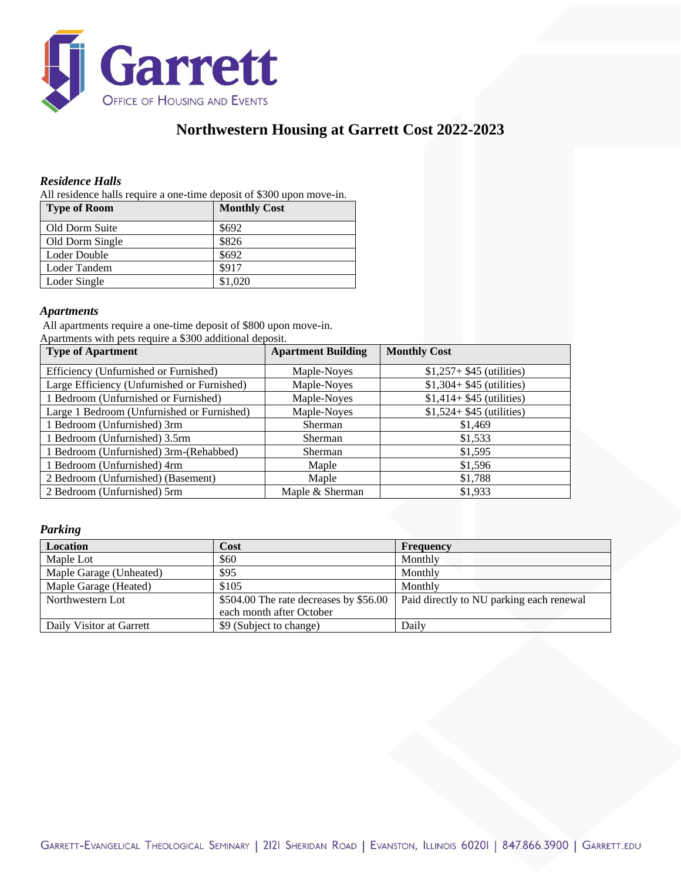

# **Northwestern Housing at Garrett Cost 2022-2023**

### *Residence Halls*

All residence halls require a one-time deposit of \$300 upon move-in.

| <b>Type of Room</b> | <b>Monthly Cost</b> |
|---------------------|---------------------|
| Old Dorm Suite      | \$692               |
| Old Dorm Single     | \$826               |
| Loder Double        | \$692               |
| Loder Tandem        | \$917               |
| Loder Single        | \$1,020             |

#### *Apartments*

All apartments require a one-time deposit of \$800 upon move-in. Apartments with pets require a \$300 additional deposit.

| <b>Type of Apartment</b>                    | <b>Apartment Building</b> | <b>Monthly Cost</b>        |
|---------------------------------------------|---------------------------|----------------------------|
| Efficiency (Unfurnished or Furnished)       | Maple-Noves               | $$1,257+ $45$ (utilities)  |
| Large Efficiency (Unfurnished or Furnished) | Maple-Noves               | $$1,304+ $45$ (utilities)  |
| 1 Bedroom (Unfurnished or Furnished)        | Maple-Noyes               | $$1,414+ $45$ (utilities)  |
| Large 1 Bedroom (Unfurnished or Furnished)  | Maple-Noves               | $$1,524 + $45$ (utilities) |
| 1 Bedroom (Unfurnished) 3rm                 | Sherman                   | \$1,469                    |
| 1 Bedroom (Unfurnished) 3.5rm               | Sherman                   | \$1,533                    |
| 1 Bedroom (Unfurnished) 3rm-(Rehabbed)      | Sherman                   | \$1,595                    |
| 1 Bedroom (Unfurnished) 4rm                 | Maple                     | \$1,596                    |
| 2 Bedroom (Unfurnished) (Basement)          | Maple                     | \$1.788                    |
| 2 Bedroom (Unfurnished) 5rm                 | Maple & Sherman           | \$1,933                    |

#### *Parking*

| <b>Location</b>          | Cost                                                               | Frequency                                |
|--------------------------|--------------------------------------------------------------------|------------------------------------------|
| Maple Lot                | \$60                                                               | Monthly                                  |
| Maple Garage (Unheated)  | \$95                                                               | Monthly                                  |
| Maple Garage (Heated)    | \$105                                                              | Monthly                                  |
| Northwestern Lot         | \$504.00 The rate decreases by \$56.00<br>each month after October | Paid directly to NU parking each renewal |
| Daily Visitor at Garrett | \$9 (Subject to change)                                            | Daily                                    |